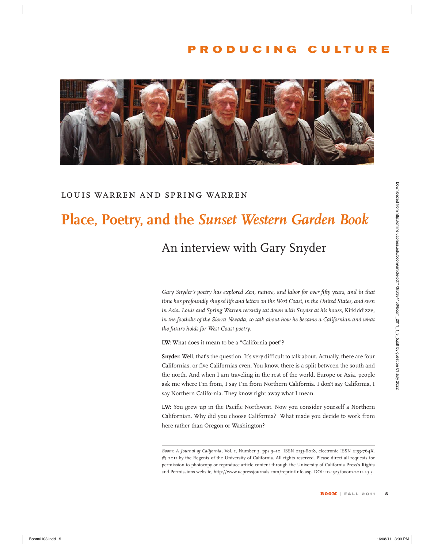### **producing culture**



#### *louis warren and spring warren*

# **Place, Poetry, and the** *Sunset Western Garden Book*

## An interview with Gary Snyder

*Gary Snyder's poetry has explored Zen, nature, and labor for over fifty years, and in that time has profoundly shaped life and letters on the West Coast, in the United States, and even in Asia. Louis and Spring Warren recently sat down with Snyder at his house,* Kitkiddizze*, in the foothills of the Sierra Nevada, to talk about how he became a Californian and what the future holds for West Coast poetry.*  **EXECTS: BOOM SEARTHERT CONTROL SEARTHERT CONTROL SEARTHERT CONTROL SEARTHERT CONTROL SEARCH CONTROL SEARCH CONTROL SEARCH CONTROL SEARCH CONTROL SEARCH CONTROL SEARCH CONTROL SEARCH CONTROL SEARCH CONTROL SEARCH CONTRO** 

**LW:** What does it mean to be a "California poet"?

**Snyder:** Well, that's the question. It's very difficult to talk about. Actually, there are four Californias, or five Californias even. You know, there is a split between the south and the north. And when I am traveling in the rest of the world, Europe or Asia, people ask me where I'm from, I say I'm from Northern California. I don't say California, I say Northern California. They know right away what I mean.

**LW:** You grew up in the Pacific Northwest. Now you consider yourself a Northern Californian. Why did you choose California? What made you decide to work from here rather than Oregon or Washington?

*Boom: A Journal of California,* Vol. 1, Number 3, pps 5–10. ISSN 2153-8018, electronic ISSN 2153-764X. © 2011 by the Regents of the University of California. All rights reserved. Please direct all requests for permission to photocopy or reproduce article content through the University of California Press's Rights and Permissions website, http://www.ucpressjournals.com/reprintInfo.asp. DOI: 10.1525/boom.2011.1.3.5.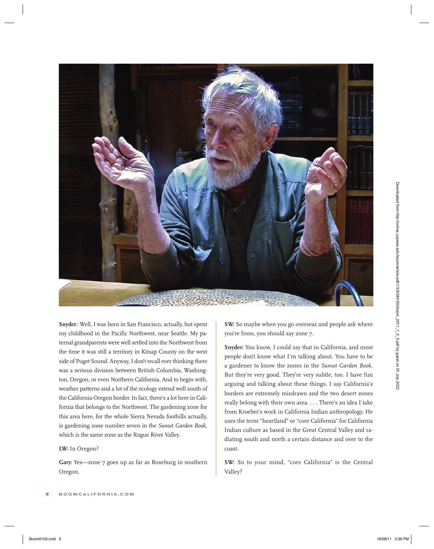

**Snyder:** Well, I was born in San Francisco, actually, but spent my childhood in the Pacific Northwest, near Seattle. My paternal grandparents were well settled into the Northwest from the time it was still a territory in Kitsap County on the west side of Puget Sound. Anyway, I don't recall ever thinking there was a serious division between British Columbia, Washington, Oregon, or even Northern California. And to begin with, weather patterns and a lot of the ecology extend well south of the California-Oregon border.In fact, there's a lot here in California that belongs to the Northwest. The gardening zone for this area here, for the whole Sierra Nevada foothills actually, is gardening zone number seven in the *Sunset Garden Book*, which is the same zone as the Rogue River Valley.

#### **LW:** In Oregon?

Gary: Yes-zone 7 goes up as far as Roseburg in southern Oregon.

**SW:** So maybe when you go overseas and people ask where you're from, you should say zone 7.

**Snyder:** You know, I could say that in California, and most people don't know what I'm talking about. You have to be a gardener to know the zones in the *Sunset Garden Book*. But they're very good. They're very subtle, too. I have fun arguing and talking about these things. I say California's borders are extremely misdrawn and the two desert zones really belong with their own area. . . . There's an idea I take from Kroeber's work in California Indian anthropology. He uses the term "heartland" or "core California" for California Indian culture as based in the Great Central Valley and radiating south and north a certain distance and over to the coast.

**SW:** So to your mind, "core California" is the Central Valley?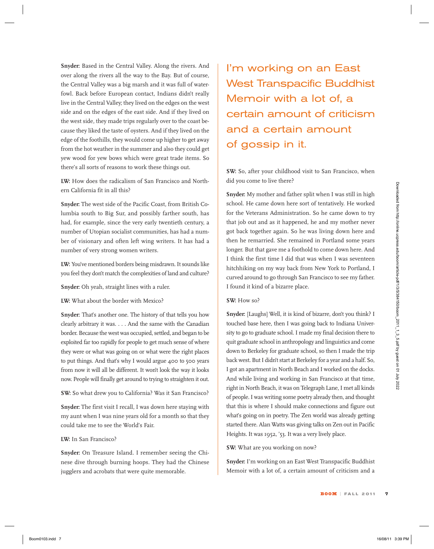**Snyder:** Based in the Central Valley. Along the rivers. And over along the rivers all the way to the Bay. But of course, the Central Valley was a big marsh and it was full of waterfowl. Back before European contact, Indians didn't really live in the Central Valley; they lived on the edges on the west side and on the edges of the east side. And if they lived on the west side, they made trips regularly over to the coast because they liked the taste of oysters. And if they lived on the edge of the foothills, they would come up higher to get away from the hot weather in the summer and also they could get yew wood for yew bows which were great trade items. So there's all sorts of reasons to work these things out.

**LW:** How does the radicalism of San Francisco and Northern California fit in all this?

**Snyder:** The west side of the Pacific Coast, from British Columbia south to Big Sur, and possibly farther south, has had, for example, since the very early twentieth century, a number of Utopian socialist communities, has had a number of visionary and often left wing writers. It has had a number of very strong women writers.

LW: You've mentioned borders being misdrawn. It sounds like you feel they don't match the complexities of land and culture?

**Snyder:** Oh yeah, straight lines with a ruler.

**LW:** What about the border with Mexico?

**Snyder:** That's another one. The history of that tells you how clearly arbitrary it was. . . . And the same with the Canadian border. Because the west was occupied, settled, and began to be exploited far too rapidly for people to get much sense of where they were or what was going on or what were the right places to put things. And that's why I would argue 400 to 500 years from now it will all be different. It won't look the way it looks now. People will finally get around to trying to straighten it out.

**SW:** So what drew you to California? Was it San Francisco?

**Snyder:** The first visit I recall, I was down here staying with my aunt when I was nine years old for a month so that they could take me to see the World's Fair.

#### **LW:** In San Francisco?

**Snyder:** On Treasure Island. I remember seeing the Chinese dive through burning hoops. They had the Chinese jugglers and acrobats that were quite memorable.

I'm working on an East West Transpacific Buddhist Memoir with a lot of, a certain amount of criticism and a certain amount of gossip in it.

**SW:** So, after your childhood visit to San Francisco, when did you come to live there?

**Snyder:** My mother and father split when I was still in high school. He came down here sort of tentatively. He worked for the Veterans Administration. So he came down to try that job out and as it happened, he and my mother never got back together again. So he was living down here and then he remarried. She remained in Portland some years longer. But that gave me a foothold to come down here. And I think the first time I did that was when I was seventeen hitchhiking on my way back from New York to Portland, I curved around to go through San Francisco to see my father. I found it kind of a bizarre place.

#### **SW:** How so?

**Snyder:** [Laughs] Well, it is kind of bizarre, don't you think? I touched base here, then I was going back to Indiana University to go to graduate school. I made my final decision there to quit graduate school in anthropology and linguistics and come down to Berkeley for graduate school, so then I made the trip back west. But I didn't start at Berkeley for a year and a half. So, I got an apartment in North Beach and I worked on the docks. And while living and working in San Francisco at that time, right in North Beach, it was on Telegraph Lane, I met all kinds of people.I was writing some poetry already then, and thought that this is where I should make connections and figure out what's going on in poetry. The Zen world was already getting started there. Alan Watts was giving talks on Zen out in Pacific Heights. It was 1952, '53. It was a very lively place. or California (11 + 3)). High state and the state of the particle in the state of the term of the term of the term of the term of the term of the term of the state of the state of the state of the state of the state of th

#### **SW:** What are you working on now?

**Snyder:** I'm working on an East West Transpacific Buddhist Memoir with a lot of, a certain amount of criticism and a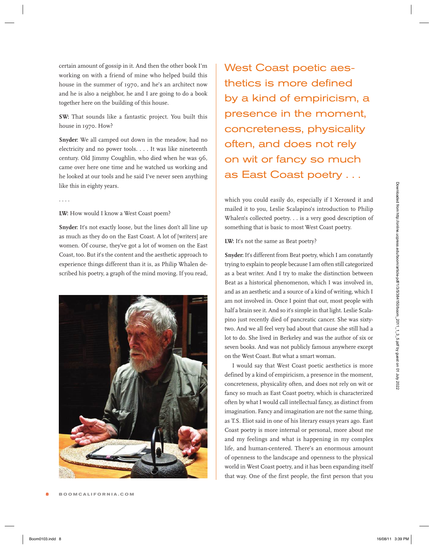certain amount of gossip in it. And then the other book I'm working on with a friend of mine who helped build this house in the summer of 1970, and he's an architect now and he is also a neighbor, he and I are going to do a book together here on the building of this house.

**SW:** That sounds like a fantastic project. You built this house in 1970. How?

**Snyder:** We all camped out down in the meadow, had no electricity and no power tools. . . . It was like nineteenth century. Old Jimmy Coughlin, who died when he was 96, came over here one time and he watched us working and he looked at our tools and he said I've never seen anything like this in eighty years.

. . . .

**LW:** How would I know a West Coast poem?

Snyder: It's not exactly loose, but the lines don't all line up as much as they do on the East Coast. A lot of [writers] are women. Of course, they've got a lot of women on the East Coast, too. But it's the content and the aesthetic approach to experience things different than it is, as Philip Whalen described his poetry, a graph of the mind moving. If you read,



West Coast poetic aesthetics is more defined by a kind of empiricism, a presence in the moment, concreteness, physicality often, and does not rely on wit or fancy so much as East Coast poetry . . .

which you could easily do, especially if I Xeroxed it and mailed it to you, Leslie Scalapino's introduction to Philip Whalen's collected poetry. . . is a very good description of something that is basic to most West Coast poetry.

LW: It's not the same as Beat poetry?

**Snyder:** It's different from Beat poetry, which I am constantly trying to explain to people because I am often still categorized as a beat writer. And I try to make the distinction between Beat as a historical phenomenon, which I was involved in, and as an aesthetic and a source of a kind of writing, which I am not involved in. Once I point that out, most people with half a brain see it. And so it's simple in that light. Leslie Scalapino just recently died of pancreatic cancer. She was sixtytwo. And we all feel very bad about that cause she still had a lot to do. She lived in Berkeley and was the author of six or seven books. And was not publicly famous anywhere except on the West Coast. But what a smart woman.

I would say that West Coast poetic aesthetics is more defined by a kind of empiricism, a presence in the moment, concreteness, physicality often, and does not rely on wit or fancy so much as East Coast poetry, which is characterized often by what I would call intellectual fancy, as distinct from imagination. Fancy and imagination are not the same thing, as T.S. Eliot said in one of his literary essays years ago. East Coast poetry is more internal or personal, more about me and my feelings and what is happening in my complex life, and human-centered. There's an enormous amount of openness to the landscape and openness to the physical world in West Coast poetry, and it has been expanding itself that way. One of the first people, the first person that you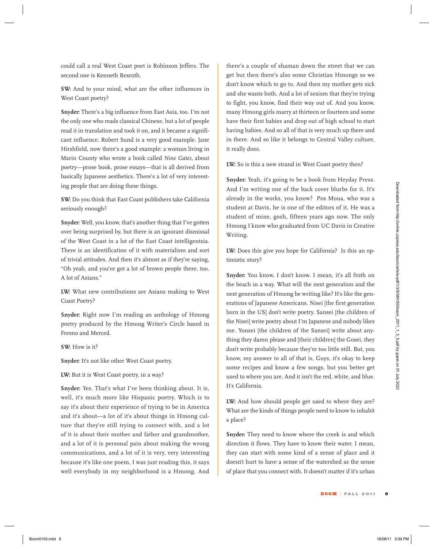could call a real West Coast poet is Robinson Jeffers. The second one is Kenneth Rexroth.

**SW:** And to your mind, what are the other influences in West Coast poetry?

**Snyder:** There's a big influence from East Asia, too. I'm not the only one who reads classical Chinese, but a lot of people read it in translation and took it on, and it became a significant influence. Robert Sund is a very good example. Jane Hirshfield, now there's a good example: a woman living in Marin County who wrote a book called *Nine Gates,* about poetry—prose book, prose essays—that is all derived from basically Japanese aesthetics. There's a lot of very interesting people that are doing these things.

**SW:** Do you think that East Coast publishers take California seriously enough?

**Snyder:** Well, you know, that's another thing that I've gotten over being surprised by, but there is an ignorant dismissal of the West Coast in a lot of the East Coast intelligentsia. There is an identification of it with materialism and sort of trivial attitudes. And then it's almost as if they're saying, "Oh yeah, and you've got a lot of brown people there, too. A lot of Asians."

**LW:** What new contributions are Asians making to West Coast Poetry?

**Snyder:** Right now I'm reading an anthology of Hmong poetry produced by the Hmong Writer's Circle based in Fresno and Merced.

**SW:** How is it?

**Snyder:** It's not like other West Coast poetry.

**LW:** But it is West Coast poetry, in a way?

**Snyder:** Yes. That's what I've been thinking about. It is, well, it's much more like Hispanic poetry. Which is to say it's about their experience of trying to be in America and it's about—a lot of it's about things in Hmong culture that they're still trying to connect with, and a lot of it is about their mother and father and grandmother, and a lot of it is personal pain about making the wrong communications, and a lot of it is very, very interesting because it's like one poem, I was just reading this, it says well everybody in my neighborhood is a Hmong. And

there's a couple of shaman down the street that we can get but then there's also some Christian Hmongs so we don't know which to go to. And then my mother gets sick and she wants both. And a lot of sexism that they're trying to fight, you know, find their way out of. And you know, many Hmong girls marry at thirteen or fourteen and some have their first babies and drop out of high school to start having babies. And so all of that is very much up there and in there. And so like it belongs to Central Valley culture, it really does.

**LW:** So is this a new strand in West Coast poetry then?

**Snyder:** Yeah, it's going to be a book from Heyday Press. And I'm writing one of the back cover blurbs for it. It's already in the works, you know? Pos Moua, who was a student at Davis, he is one of the editors of it. He was a student of mine, gosh, fifteen years ago now. The only Hmong I know who graduated from UC Davis in Creative Writing.

**LW:** Does this give you hope for California? Is this an optimistic story?

Snyder: You know, I don't know. I mean, it's all froth on the beach in a way. What will the next generation and the next generation of Hmong be writing like? It's like the generations of Japanese Americans. Nisei [the first generation born in the US] don't write poetry. Sansei [the children of the Nisei] write poetry about I'm Japanese and nobody likes me. Yonsei [the children of the Sansei] write about anything they damn please and [their children] the Gosei, they don't write probably because they're too little still. But, you know, my answer to all of that is, Guys, it's okay to keep some recipes and know a few songs, but you better get used to where you are. And it isn't the red, white, and blue. It's California. Boom of the state of the state of the transition of the boom 10 of the boom 10 of the state of the state of the state of the state of the state of the state of the state of the state of the state of the state of the state

**LW:** And how should people get used to where they are? What are the kinds of things people need to know to inhabit a place?

**Snyder:** They need to know where the creek is and which direction it flows. They have to know their water. I mean, they can start with some kind of a sense of place and it doesn't hurt to have a sense of the watershed as the sense of place that you connect with. It doesn't matter if it's urban